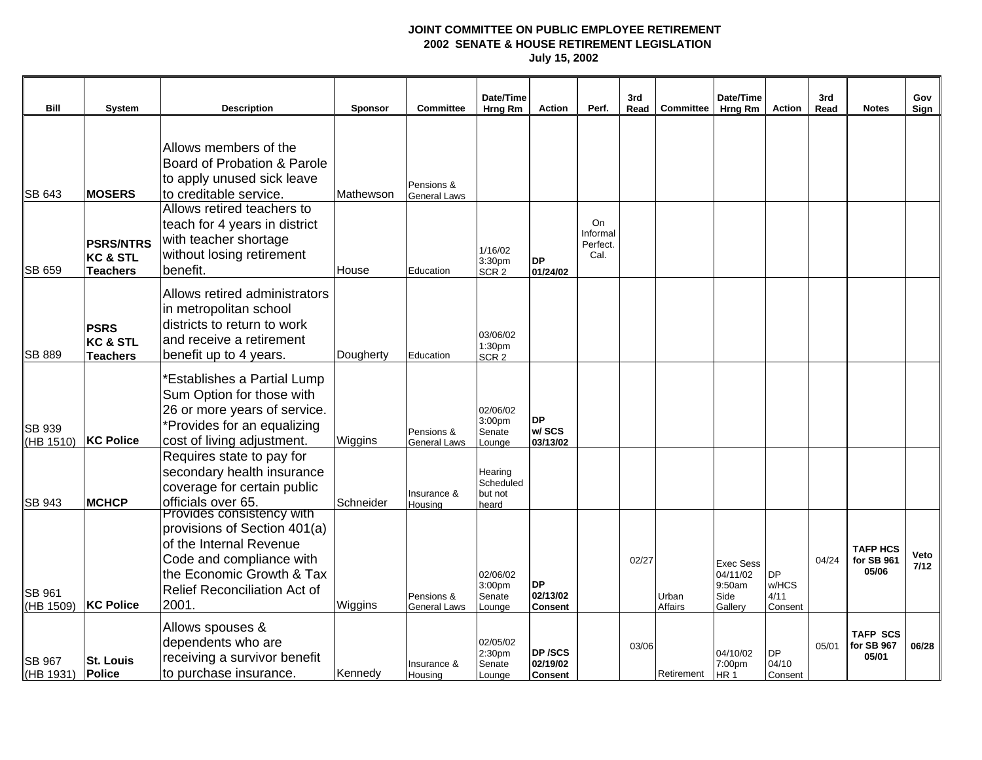| Bill                       | <b>System</b>                                              | <b>Description</b>                                                                                                                                                                                   | <b>Sponsor</b> | <b>Committee</b>                  | Date/Time<br>Hrng Rm                     | <b>Action</b>                           | Perf.                                     | 3rd<br>Read | Committee               | Date/Time<br>Hrng Rm                                      | Action                                | 3rd<br>Read | <b>Notes</b>                           | Gov<br>Sign  |
|----------------------------|------------------------------------------------------------|------------------------------------------------------------------------------------------------------------------------------------------------------------------------------------------------------|----------------|-----------------------------------|------------------------------------------|-----------------------------------------|-------------------------------------------|-------------|-------------------------|-----------------------------------------------------------|---------------------------------------|-------------|----------------------------------------|--------------|
| <b>SB 643</b>              | <b>MOSERS</b>                                              | Allows members of the<br>Board of Probation & Parole<br>to apply unused sick leave<br>to creditable service.                                                                                         | Mathewson      | Pensions &<br><b>General Laws</b> |                                          |                                         |                                           |             |                         |                                                           |                                       |             |                                        |              |
| <b>SB 659</b>              | <b>PSRS/NTRS</b><br><b>KC &amp; STL</b><br><b>Teachers</b> | Allows retired teachers to<br>teach for 4 years in district<br>with teacher shortage<br>without losing retirement<br>benefit.                                                                        | House          | Education                         | 1/16/02<br>3:30pm<br>SCR <sub>2</sub>    | <b>DP</b><br>01/24/02                   | <b>On</b><br>Informal<br>Perfect.<br>Cal. |             |                         |                                                           |                                       |             |                                        |              |
| <b>SB 889</b>              | <b>PSRS</b><br><b>KC &amp; STL</b><br><b>Teachers</b>      | Allows retired administrators<br>in metropolitan school<br>districts to return to work<br>and receive a retirement<br>benefit up to 4 years.                                                         | Dougherty      | Education                         | 03/06/02<br>1:30pm<br>SCR <sub>2</sub>   |                                         |                                           |             |                         |                                                           |                                       |             |                                        |              |
| <b>SB 939</b><br>(HB 1510) | <b>KC Police</b>                                           | *Establishes a Partial Lump<br>Sum Option for those with<br>26 or more years of service.<br>*Provides for an equalizing<br>cost of living adjustment.                                                | Wiggins        | Pensions &<br><b>General Laws</b> | 02/06/02<br>3:00pm<br>Senate<br>Lounge   | <b>DP</b><br>w/SCS<br>03/13/02          |                                           |             |                         |                                                           |                                       |             |                                        |              |
| <b>SB 943</b>              | <b>MCHCP</b>                                               | Requires state to pay for<br>secondary health insurance<br>coverage for certain public<br>officials over 65.                                                                                         | Schneider      | Insurance &<br>Housing            | Hearing<br>Scheduled<br>but not<br>heard |                                         |                                           |             |                         |                                                           |                                       |             |                                        |              |
| <b>SB 961</b><br>(HB 1509) | <b>KC Police</b>                                           | <b>Provides consistency with</b><br>provisions of Section 401(a)<br>of the Internal Revenue<br>Code and compliance with<br>the Economic Growth & Tax<br><b>Relief Reconciliation Act of</b><br>2001. | Wiggins        | Pensions &<br>General Laws        | 02/06/02<br>3:00pm<br>Senate<br>Lounge   | <b>DP</b><br>02/13/02<br><b>Consent</b> |                                           | 02/27       | Urban<br><b>Affairs</b> | <b>Exec Sess</b><br>04/11/02<br>9:50am<br>Side<br>Gallery | <b>DP</b><br>w/HCS<br>4/11<br>Consent | 04/24       | <b>TAFP HCS</b><br>for SB 961<br>05/06 | Veto<br>7/12 |
| <b>SB 967</b><br>(HB 1931) | <b>St. Louis</b><br><b>Police</b>                          | Allows spouses &<br>dependents who are<br>receiving a survivor benefit<br>to purchase insurance.                                                                                                     | Kennedy        | Insurance &<br>Housing            | 02/05/02<br>2:30pm<br>Senate<br>Lounge   | DP /SCS<br>02/19/02<br><b>Consent</b>   |                                           | 03/06       | Retirement              | 04/10/02<br>7:00pm<br>HR <sub>1</sub>                     | <b>DP</b><br>04/10<br>Consent         | 05/01       | <b>TAFP SCS</b><br>for SB 967<br>05/01 | 06/28        |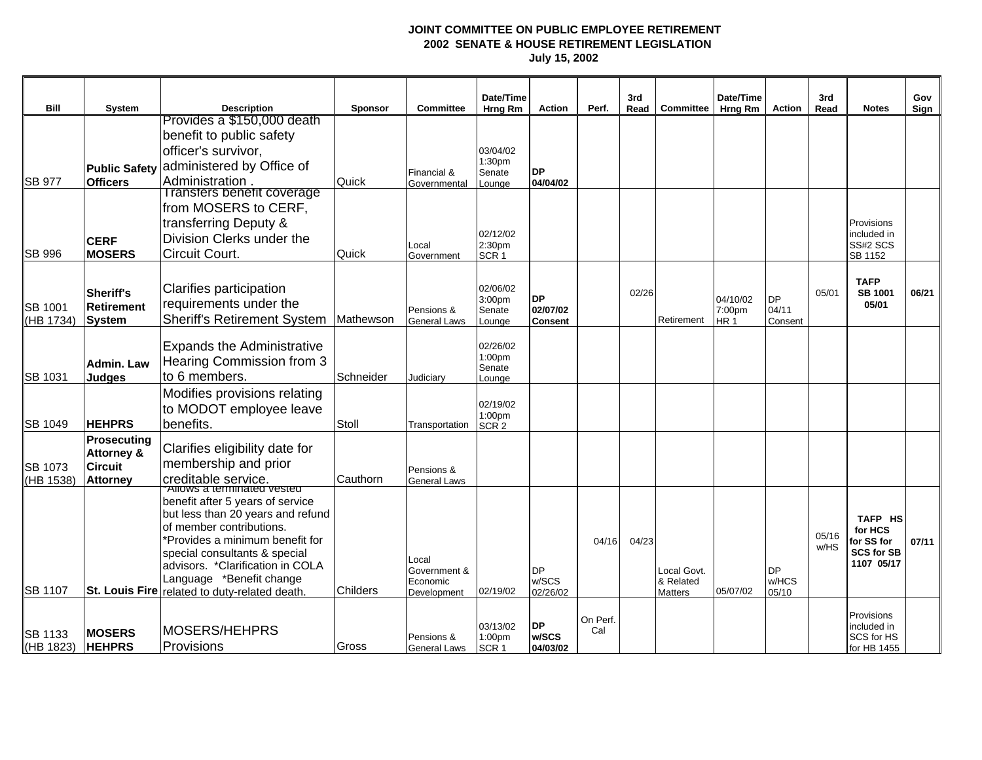|                      |                                             |                                                                  |                 |                            | Date/Time                  |                            |          | 3rd   |                          | Date/Time                 |                  | 3rd   |                                 | Gov   |
|----------------------|---------------------------------------------|------------------------------------------------------------------|-----------------|----------------------------|----------------------------|----------------------------|----------|-------|--------------------------|---------------------------|------------------|-------|---------------------------------|-------|
| Bill                 | System                                      | <b>Description</b><br>Provides a \$150,000 death                 | <b>Sponsor</b>  | <b>Committee</b>           | Hrng Rm                    | <b>Action</b>              | Perf.    | Read  | Committee                | Hrng Rm                   | Action           | Read  | <b>Notes</b>                    | Sign  |
|                      |                                             | benefit to public safety                                         |                 |                            |                            |                            |          |       |                          |                           |                  |       |                                 |       |
|                      |                                             | officer's survivor,                                              |                 |                            | 03/04/02                   |                            |          |       |                          |                           |                  |       |                                 |       |
|                      | <b>Public Safety</b>                        | administered by Office of                                        |                 | Financial &                | 1:30pm<br>Senate           | <b>DP</b>                  |          |       |                          |                           |                  |       |                                 |       |
| <b>SB 977</b>        | <b>Officers</b>                             | Administration.                                                  | Quick           | Governmental               | Lounge                     | 04/04/02                   |          |       |                          |                           |                  |       |                                 |       |
|                      |                                             | I ransfers benefit coverage                                      |                 |                            |                            |                            |          |       |                          |                           |                  |       |                                 |       |
|                      |                                             | from MOSERS to CERF,<br>transferring Deputy &                    |                 |                            |                            |                            |          |       |                          |                           |                  |       | Provisions                      |       |
|                      |                                             | Division Clerks under the                                        |                 |                            | 02/12/02                   |                            |          |       |                          |                           |                  |       | included in                     |       |
| <b>SB 996</b>        | <b>CERF</b><br><b>MOSERS</b>                | Circuit Court.                                                   | Quick           | Local<br>Government        | 2:30pm<br>SCR <sub>1</sub> |                            |          |       |                          |                           |                  |       | SS#2 SCS<br>SB 1152             |       |
|                      |                                             |                                                                  |                 |                            |                            |                            |          |       |                          |                           |                  |       |                                 |       |
|                      |                                             | Clarifies participation                                          |                 |                            | 02/06/02                   |                            |          |       |                          |                           |                  |       | <b>TAFP</b>                     |       |
|                      | Sheriff's<br><b>Retirement</b>              | requirements under the                                           |                 |                            | 3:00pm                     | <b>DP</b>                  |          | 02/26 |                          | 04/10/02                  | <b>DP</b>        | 05/01 | <b>SB 1001</b><br>05/01         | 06/21 |
| SB 1001<br>(HB 1734) | <b>System</b>                               | <b>Sheriff's Retirement System</b>                               | Mathewson       | Pensions &<br>General Laws | Senate<br>Lounge           | 02/07/02<br><b>Consent</b> |          |       | Retirement               | 7:00pm<br>HR <sub>1</sub> | 04/11<br>Consent |       |                                 |       |
|                      |                                             |                                                                  |                 |                            |                            |                            |          |       |                          |                           |                  |       |                                 |       |
|                      |                                             | <b>Expands the Administrative</b>                                |                 |                            | 02/26/02                   |                            |          |       |                          |                           |                  |       |                                 |       |
|                      | <b>Admin. Law</b>                           | Hearing Commission from 3                                        |                 |                            | 1:00pm<br>Senate           |                            |          |       |                          |                           |                  |       |                                 |       |
| SB 1031              | <b>Judges</b>                               | to 6 members.                                                    | Schneider       | Judiciary                  | Lounge                     |                            |          |       |                          |                           |                  |       |                                 |       |
|                      |                                             | Modifies provisions relating                                     |                 |                            | 02/19/02                   |                            |          |       |                          |                           |                  |       |                                 |       |
|                      |                                             | to MODOT employee leave                                          |                 |                            | 1:00pm                     |                            |          |       |                          |                           |                  |       |                                 |       |
| SB 1049              | <b>HEHPRS</b>                               | benefits.                                                        | Stoll           | Transportation             | SCR <sub>2</sub>           |                            |          |       |                          |                           |                  |       |                                 |       |
|                      | <b>Prosecuting</b><br><b>Attorney &amp;</b> | Clarifies eligibility date for                                   |                 |                            |                            |                            |          |       |                          |                           |                  |       |                                 |       |
| <b>SB</b> 1073       | <b>Circuit</b>                              | membership and prior                                             |                 | Pensions &                 |                            |                            |          |       |                          |                           |                  |       |                                 |       |
| (HB 1538)            | <b>Attorney</b>                             | creditable service.                                              | Cauthorn        | <b>General Laws</b>        |                            |                            |          |       |                          |                           |                  |       |                                 |       |
|                      |                                             | Allows a terminated vested<br>benefit after 5 years of service   |                 |                            |                            |                            |          |       |                          |                           |                  |       |                                 |       |
|                      |                                             | but less than 20 years and refund                                |                 |                            |                            |                            |          |       |                          |                           |                  |       | TAFP HS                         |       |
|                      |                                             | of member contributions.                                         |                 |                            |                            |                            |          |       |                          |                           |                  | 05/16 | for HCS                         |       |
|                      |                                             | *Provides a minimum benefit for<br>special consultants & special |                 |                            |                            |                            | 04/16    | 04/23 |                          |                           |                  | w/HS  | for SS for<br><b>SCS for SB</b> | 07/11 |
|                      |                                             | advisors. *Clarification in COLA                                 |                 | Local                      |                            |                            |          |       |                          |                           |                  |       | 1107 05/17                      |       |
|                      |                                             | Language *Benefit change                                         |                 | Government &<br>Economic   |                            | <b>DP</b><br>w/SCS         |          |       | Local Govt.<br>& Related |                           | DP<br>w/HCS      |       |                                 |       |
| <b>SB 1107</b>       |                                             | St. Louis Fire related to duty-related death.                    | <b>Childers</b> | Development                | 02/19/02                   | 02/26/02                   |          |       | <b>Matters</b>           | 05/07/02                  | 05/10            |       |                                 |       |
|                      |                                             |                                                                  |                 |                            |                            |                            | On Perf. |       |                          |                           |                  |       | Provisions                      |       |
| SB 1133              | <b>MOSERS</b>                               | MOSERS/HEHPRS                                                    |                 |                            | 03/13/02                   | <b>DP</b><br>w/SCS         | Cal      |       |                          |                           |                  |       | included in                     |       |
| (HB 1823)            | <b>HEHPRS</b>                               | Provisions                                                       | Gross           | Pensions &<br>General Laws | 1:00pm<br>SCR <sub>1</sub> | 04/03/02                   |          |       |                          |                           |                  |       | SCS for HS<br>for HB 1455       |       |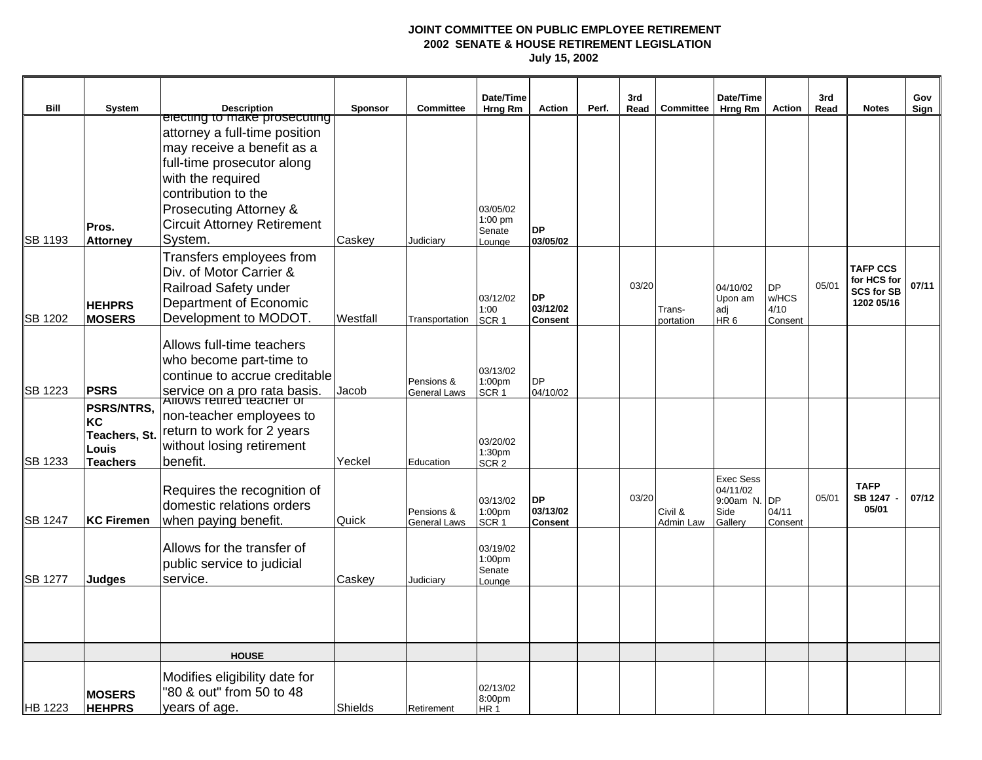|                |                                                               |                                                                                                                                                    |          |                                   | Date/Time                                          |                                         |       | 3rd   |                      | Date/Time                                                    |                                       | 3rd   |                                                                   | Gov   |
|----------------|---------------------------------------------------------------|----------------------------------------------------------------------------------------------------------------------------------------------------|----------|-----------------------------------|----------------------------------------------------|-----------------------------------------|-------|-------|----------------------|--------------------------------------------------------------|---------------------------------------|-------|-------------------------------------------------------------------|-------|
| Bill           | <b>System</b>                                                 | <b>Description</b>                                                                                                                                 | Sponsor  | <b>Committee</b>                  | Hrng Rm                                            | Action                                  | Perf. | Read  | Committee            | Hrng Rm                                                      | <b>Action</b>                         | Read  | <b>Notes</b>                                                      | Sign  |
|                |                                                               | electing to make prosecuting<br>attorney a full-time position<br>may receive a benefit as a<br>full-time prosecutor along<br>with the required     |          |                                   |                                                    |                                         |       |       |                      |                                                              |                                       |       |                                                                   |       |
| SB 1193        | Pros.<br><b>Attorney</b>                                      | contribution to the<br>Prosecuting Attorney &<br><b>Circuit Attorney Retirement</b><br>System.                                                     | Caskey   | Judiciary                         | 03/05/02<br>$1:00$ pm<br>Senate<br>Lounge          | <b>DP</b><br>03/05/02                   |       |       |                      |                                                              |                                       |       |                                                                   |       |
| <b>SB 1202</b> | <b>HEHPRS</b><br><b>MOSERS</b>                                | Transfers employees from<br>Div. of Motor Carrier &<br>Railroad Safety under<br>Department of Economic<br>Development to MODOT.                    | Westfall | Transportation                    | 03/12/02<br>1:00<br>SCR <sub>1</sub>               | <b>DP</b><br>03/12/02<br><b>Consent</b> |       | 03/20 | Trans-<br>portation  | 04/10/02<br>Upon am<br>adi<br>HR <sub>6</sub>                | <b>DP</b><br>w/HCS<br>4/10<br>Consent | 05/01 | <b>TAFP CCS</b><br>for HCS for<br><b>SCS for SB</b><br>1202 05/16 | 07/11 |
| SB 1223        | <b>PSRS</b>                                                   | Allows full-time teachers<br>who become part-time to<br>continue to accrue creditable<br>service on a pro rata basis.<br>Allows retired teacher or | Jacob    | Pensions &<br><b>General Laws</b> | 03/13/02<br>1:00pm<br>SCR <sub>1</sub>             | <b>DP</b><br>04/10/02                   |       |       |                      |                                                              |                                       |       |                                                                   |       |
| SB 1233        | PSRS/NTRS,<br>KC<br>Teachers, St.<br>Louis<br><b>Teachers</b> | non-teacher employees to<br>return to work for 2 years<br>without losing retirement<br>benefit.                                                    | Yeckel   | Education                         | 03/20/02<br>1:30 <sub>pm</sub><br>SCR <sub>2</sub> |                                         |       |       |                      |                                                              |                                       |       |                                                                   |       |
| <b>SB 1247</b> | <b>KC Firemen</b>                                             | Requires the recognition of<br>domestic relations orders<br>when paying benefit.                                                                   | Quick    | Pensions &<br><b>General Laws</b> | 03/13/02<br>1:00pm<br>SCR <sub>1</sub>             | <b>DP</b><br>03/13/02<br><b>Consent</b> |       | 03/20 | Civil &<br>Admin Law | <b>Exec Sess</b><br>04/11/02<br>9:00am N.<br>Side<br>Gallery | <b>DP</b><br>04/11<br>Consent         | 05/01 | <b>TAFP</b><br><b>SB 1247</b><br>05/01                            | 07/12 |
| <b>SB 1277</b> | <b>Judges</b>                                                 | Allows for the transfer of<br>public service to judicial<br>service.                                                                               | Caskey   | Judiciary                         | 03/19/02<br>1:00 <sub>pm</sub><br>Senate<br>Lounge |                                         |       |       |                      |                                                              |                                       |       |                                                                   |       |
|                |                                                               |                                                                                                                                                    |          |                                   |                                                    |                                         |       |       |                      |                                                              |                                       |       |                                                                   |       |
|                |                                                               | <b>HOUSE</b>                                                                                                                                       |          |                                   |                                                    |                                         |       |       |                      |                                                              |                                       |       |                                                                   |       |
| <b>HB 1223</b> | <b>MOSERS</b><br><b>HEHPRS</b>                                | Modifies eligibility date for<br>'80 & out" from 50 to 48<br>years of age.                                                                         | Shields  | Retirement                        | 02/13/02<br>8:00pm<br>HR <sub>1</sub>              |                                         |       |       |                      |                                                              |                                       |       |                                                                   |       |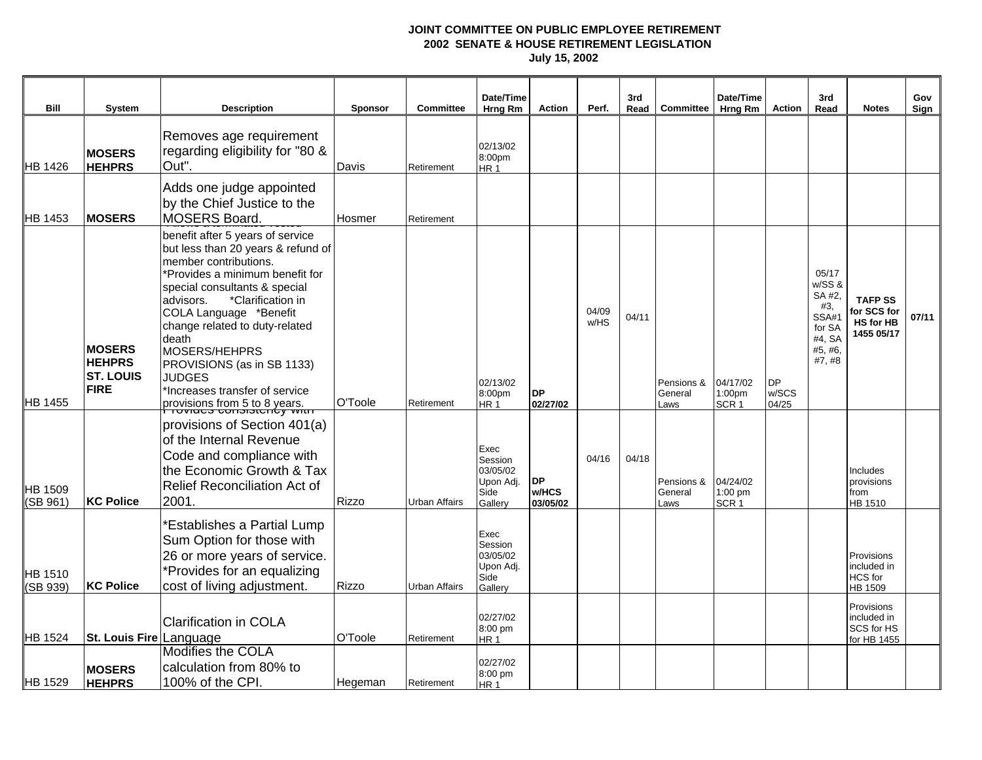| <b>Bill</b>         | System                                                            | <b>Description</b>                                                                                                                                                                                                                                                                                                                                                                                            | <b>Sponsor</b> | <b>Committee</b>     | Date/Time<br>Hrng Rm                                          | <b>Action</b>                  | Perf.         | 3rd<br>Read | <b>Committee</b>              | Date/Time<br>Hrng Rm                      | <b>Action</b>               | 3rd<br>Read                                                                              | <b>Notes</b>                                                    | Gov<br>Sign |
|---------------------|-------------------------------------------------------------------|---------------------------------------------------------------------------------------------------------------------------------------------------------------------------------------------------------------------------------------------------------------------------------------------------------------------------------------------------------------------------------------------------------------|----------------|----------------------|---------------------------------------------------------------|--------------------------------|---------------|-------------|-------------------------------|-------------------------------------------|-----------------------------|------------------------------------------------------------------------------------------|-----------------------------------------------------------------|-------------|
| HB 1426             | <b>MOSERS</b><br><b>HEHPRS</b>                                    | Removes age requirement<br>regarding eligibility for "80 &<br>Out"                                                                                                                                                                                                                                                                                                                                            | Davis          | Retirement           | 02/13/02<br>8:00pm<br>HR <sub>1</sub>                         |                                |               |             |                               |                                           |                             |                                                                                          |                                                                 |             |
| <b>HB 1453</b>      | <b>MOSERS</b>                                                     | Adds one judge appointed<br>by the Chief Justice to the<br><b>MOSERS Board.</b>                                                                                                                                                                                                                                                                                                                               | Hosmer         | Retirement           |                                                               |                                |               |             |                               |                                           |                             |                                                                                          |                                                                 |             |
| HB 1455             | <b>MOSERS</b><br><b>HEHPRS</b><br><b>ST. LOUIS</b><br><b>FIRE</b> | benefit after 5 years of service<br>but less than 20 years & refund of<br>member contributions.<br>*Provides a minimum benefit for<br>special consultants & special<br>advisors.<br>*Clarification in<br>COLA Language *Benefit<br>change related to duty-related<br>death<br>MOSERS/HEHPRS<br>PROVISIONS (as in SB 1133)<br><b>JUDGES</b><br>*Increases transfer of service<br>provisions from 5 to 8 years. | O'Toole        | Retirement           | 02/13/02<br>8:00pm<br>HR <sub>1</sub>                         | <b>DP</b><br>02/27/02          | 04/09<br>w/HS | 04/11       | Pensions &<br>General<br>Laws | 04/17/02<br>1:00pm<br>SCR <sub>1</sub>    | <b>DP</b><br>w/SCS<br>04/25 | 05/17<br>w/SS &<br>SA #2,<br>#3,<br><b>SSA#1</b><br>for SA<br>#4, SA<br>#5, #6,<br>#7,#8 | <b>TAFP SS</b><br>for SCS for<br><b>HS for HB</b><br>1455 05/17 | 07/11       |
| HB 1509<br>(SB 961) | <b>KC Police</b>                                                  | provisions of Section 401(a)<br>of the Internal Revenue<br>Code and compliance with<br>the Economic Growth & Tax<br>Relief Reconciliation Act of<br>2001                                                                                                                                                                                                                                                      | Rizzo          | <b>Urban Affairs</b> | Exec<br>Session<br>03/05/02<br>Upon Adj.<br>Side<br>Gallery   | <b>DP</b><br>w/HCS<br>03/05/02 | 04/16         | 04/18       | Pensions &<br>General<br>Laws | 04/24/02<br>$1:00$ pm<br>SCR <sub>1</sub> |                             |                                                                                          | Includes<br>provisions<br>from<br>HB 1510                       |             |
| HB 1510<br>(SB 939) | <b>KC Police</b>                                                  | <b>Establishes a Partial Lump</b><br>Sum Option for those with<br>26 or more years of service.<br>*Provides for an equalizing<br>cost of living adjustment.                                                                                                                                                                                                                                                   | Rizzo          | Urban Affairs        | Exec<br>Session<br>03/05/02<br>Upon Adj.<br>Side<br>Gallery   |                                |               |             |                               |                                           |                             |                                                                                          | Provisions<br>included in<br><b>HCS</b> for<br>HB 1509          |             |
| HB 1524             | St. Louis Fire Language<br><b>MOSERS</b>                          | <b>Clarification in COLA</b><br>Modifies the COLA<br>calculation from 80% to                                                                                                                                                                                                                                                                                                                                  | O'Toole        | Retirement           | 02/27/02<br>8:00 pm<br>HR <sub>1</sub><br>02/27/02<br>8:00 pm |                                |               |             |                               |                                           |                             |                                                                                          | Provisions<br>included in<br>SCS for HS<br>for HB 1455          |             |
| HB 1529             | <b>HEHPRS</b>                                                     | 100% of the CPI.                                                                                                                                                                                                                                                                                                                                                                                              | Hegeman        | Retirement           | HR <sub>1</sub>                                               |                                |               |             |                               |                                           |                             |                                                                                          |                                                                 |             |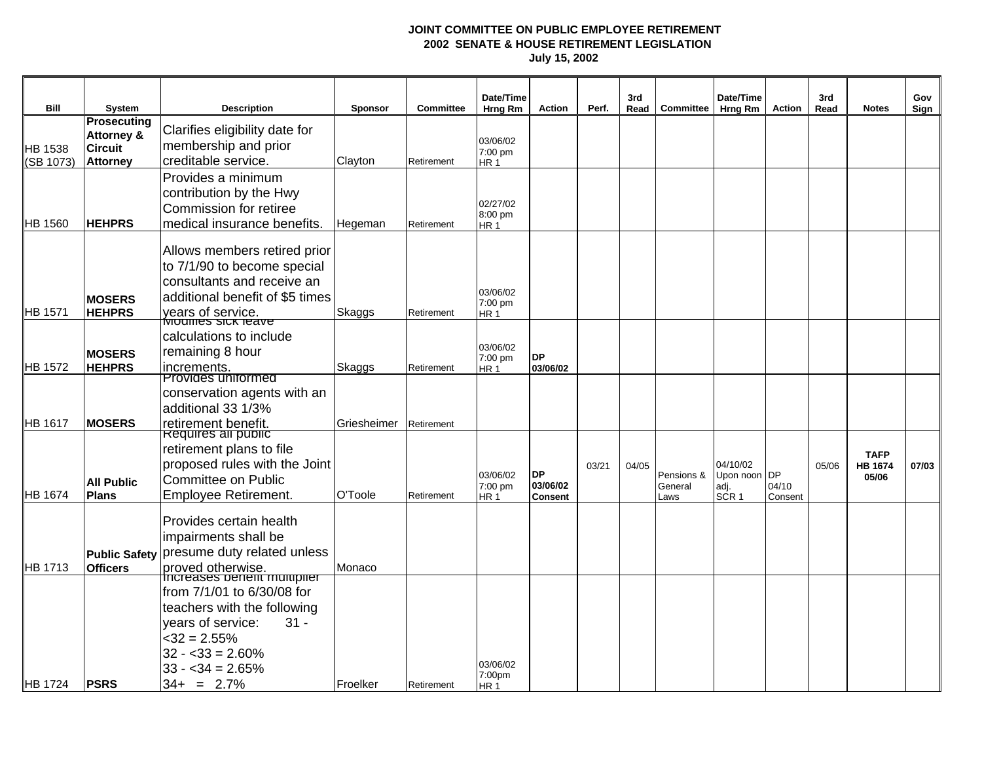|                             |                                                                           |                                                                                                                                                                                                       |                |                  | Date/Time                              |                                         |       | 3rd   |                               | Date/Time                                            |                  | 3rd   |                                        | Gov   |
|-----------------------------|---------------------------------------------------------------------------|-------------------------------------------------------------------------------------------------------------------------------------------------------------------------------------------------------|----------------|------------------|----------------------------------------|-----------------------------------------|-------|-------|-------------------------------|------------------------------------------------------|------------------|-------|----------------------------------------|-------|
| Bill                        | System                                                                    | <b>Description</b>                                                                                                                                                                                    | <b>Sponsor</b> | <b>Committee</b> | Hrng Rm                                | <b>Action</b>                           | Perf. | Read  | Committee                     | Hrng Rm                                              | <b>Action</b>    | Read  | <b>Notes</b>                           | Sign  |
| <b>HB 1538</b><br>(SB 1073) | Prosecuting<br><b>Attorney &amp;</b><br><b>Circuit</b><br><b>Attorney</b> | Clarifies eligibility date for<br>membership and prior<br>creditable service.                                                                                                                         | Clayton        | Retirement       | 03/06/02<br>7:00 pm<br>HR <sub>1</sub> |                                         |       |       |                               |                                                      |                  |       |                                        |       |
| HB 1560                     | <b>HEHPRS</b>                                                             | Provides a minimum<br>contribution by the Hwy<br>Commission for retiree<br>medical insurance benefits.                                                                                                | Hegeman        | Retirement       | 02/27/02<br>8:00 pm<br>HR <sub>1</sub> |                                         |       |       |                               |                                                      |                  |       |                                        |       |
| HB 1571                     | <b>MOSERS</b><br><b>HEHPRS</b>                                            | Allows members retired prior<br>to 7/1/90 to become special<br>consultants and receive an<br>additional benefit of \$5 times<br>years of service.<br>Modifies sick reave                              | Skaggs         | Retirement       | 03/06/02<br>7:00 pm<br>HR <sub>1</sub> |                                         |       |       |                               |                                                      |                  |       |                                        |       |
| HB 1572                     | <b>MOSERS</b><br><b>HEHPRS</b>                                            | calculations to include<br>remaining 8 hour<br>increments.                                                                                                                                            | Skaggs         | Retirement       | 03/06/02<br>7:00 pm<br>HR <sub>1</sub> | <b>DP</b><br>03/06/02                   |       |       |                               |                                                      |                  |       |                                        |       |
| HB 1617                     | <b>MOSERS</b>                                                             | Provides uniformed<br>conservation agents with an<br>additional 33 1/3%<br>retirement benefit.                                                                                                        | Griesheimer    | Retirement       |                                        |                                         |       |       |                               |                                                      |                  |       |                                        |       |
| HB 1674                     | <b>All Public</b><br><b>Plans</b>                                         | Requires all public<br>retirement plans to file<br>proposed rules with the Joint<br><b>Committee on Public</b><br><b>Employee Retirement.</b>                                                         | O'Toole        | Retirement       | 03/06/02<br>7:00 pm<br>HR <sub>1</sub> | <b>DP</b><br>03/06/02<br><b>Consent</b> | 03/21 | 04/05 | Pensions &<br>General<br>Laws | 04/10/02<br>Upon noon DP<br>adj.<br>SCR <sub>1</sub> | 04/10<br>Consent | 05/06 | <b>TAFP</b><br><b>HB 1674</b><br>05/06 | 07/03 |
| HB 1713                     | <b>Officers</b>                                                           | Provides certain health<br>impairments shall be<br>Public Safety presume duty related unless<br>proved otherwise.                                                                                     | Monaco         |                  |                                        |                                         |       |       |                               |                                                      |                  |       |                                        |       |
| HB 1724                     | <b>PSRS</b>                                                               | Increases penerit multiplier<br>from 7/1/01 to 6/30/08 for<br>teachers with the following<br>$31 -$<br>vears of service:<br>$<$ 32 = 2.55%<br>$32 - 33 = 2.60\%$<br>$33 - 34 = 2.65%$<br>$34+ = 2.7%$ | Froelker       | Retirement       | 03/06/02<br>7:00pm<br>HR <sub>1</sub>  |                                         |       |       |                               |                                                      |                  |       |                                        |       |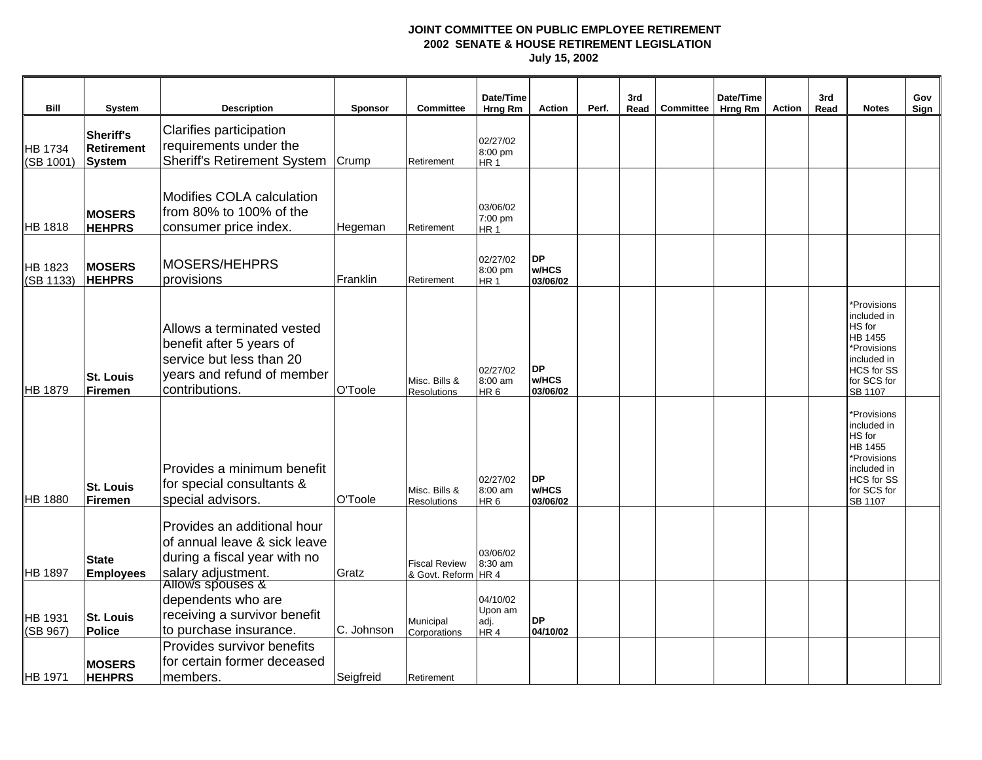| <b>Bill</b>          | <b>System</b>                     | <b>Description</b>                                                                                                                 | Sponsor    | Committee                                   | Date/Time<br>Hrng Rm                           | <b>Action</b>                  | Perf. | 3rd<br>Read | Committee | Date/Time<br>Hrng Rm | <b>Action</b> | 3rd<br>Read | <b>Notes</b>                                                                                                                        | Gov<br>Sign |
|----------------------|-----------------------------------|------------------------------------------------------------------------------------------------------------------------------------|------------|---------------------------------------------|------------------------------------------------|--------------------------------|-------|-------------|-----------|----------------------|---------------|-------------|-------------------------------------------------------------------------------------------------------------------------------------|-------------|
| HB 1734<br>(SB 1001) | Sheriff's<br>Retirement<br>System | Clarifies participation<br>requirements under the<br><b>Sheriff's Retirement System</b>                                            | Crump      | Retirement                                  | 02/27/02<br>8:00 pm<br>HR <sub>1</sub>         |                                |       |             |           |                      |               |             |                                                                                                                                     |             |
| HB 1818              | <b>MOSERS</b><br><b>HEHPRS</b>    | Modifies COLA calculation<br>from 80% to 100% of the<br>consumer price index.                                                      | Hegeman    | Retirement                                  | 03/06/02<br>7:00 pm<br>HR <sub>1</sub>         |                                |       |             |           |                      |               |             |                                                                                                                                     |             |
| HB 1823<br>(SB 1133) | <b>MOSERS</b><br><b>HEHPRS</b>    | <b>MOSERS/HEHPRS</b><br>provisions                                                                                                 | Franklin   | Retirement                                  | 02/27/02<br>8:00 pm<br>HR <sub>1</sub>         | <b>DP</b><br>w/HCS<br>03/06/02 |       |             |           |                      |               |             |                                                                                                                                     |             |
| HB 1879              | <b>St. Louis</b><br>Firemen       | Allows a terminated vested<br>benefit after 5 years of<br>service but less than 20<br>years and refund of member<br>contributions. | O'Toole    | Misc. Bills &<br><b>Resolutions</b>         | 02/27/02<br>8:00 am<br>HR <sub>6</sub>         | <b>DP</b><br>w/HCS<br>03/06/02 |       |             |           |                      |               |             | *Provisions<br>included in<br>HS for<br>HB 1455<br>*Provisions<br>included in<br>HCS for SS<br>for SCS for<br>SB 1107               |             |
| <b>HB 1880</b>       | <b>St. Louis</b><br>Firemen       | Provides a minimum benefit<br>for special consultants &<br>special advisors.                                                       | O'Toole    | Misc. Bills &<br><b>Resolutions</b>         | 02/27/02<br>8:00 am<br>HR <sub>6</sub>         | <b>DP</b><br>w/HCS<br>03/06/02 |       |             |           |                      |               |             | *Provisions<br>included in<br>HS for<br><b>HB 1455</b><br>*Provisions<br>included in<br><b>HCS</b> for SS<br>for SCS for<br>SB 1107 |             |
| HB 1897              | <b>State</b><br><b>Employees</b>  | Provides an additional hour<br>of annual leave & sick leave<br>during a fiscal year with no<br>salary adjustment.                  | Gratz      | <b>Fiscal Review</b><br>& Govt. Reform HR 4 | 03/06/02<br>8:30 am                            |                                |       |             |           |                      |               |             |                                                                                                                                     |             |
| HB 1931<br>(SB 967)  | <b>St. Louis</b><br>Police        | Allows spouses &<br>dependents who are<br>receiving a survivor benefit<br>to purchase insurance.                                   | C. Johnson | Municipal<br>Corporations                   | 04/10/02<br>Upon am<br>adj.<br>HR <sub>4</sub> | <b>DP</b><br>04/10/02          |       |             |           |                      |               |             |                                                                                                                                     |             |
| HB 1971              | <b>MOSERS</b><br><b>HEHPRS</b>    | Provides survivor benefits<br>for certain former deceased<br>members.                                                              | Seigfreid  | Retirement                                  |                                                |                                |       |             |           |                      |               |             |                                                                                                                                     |             |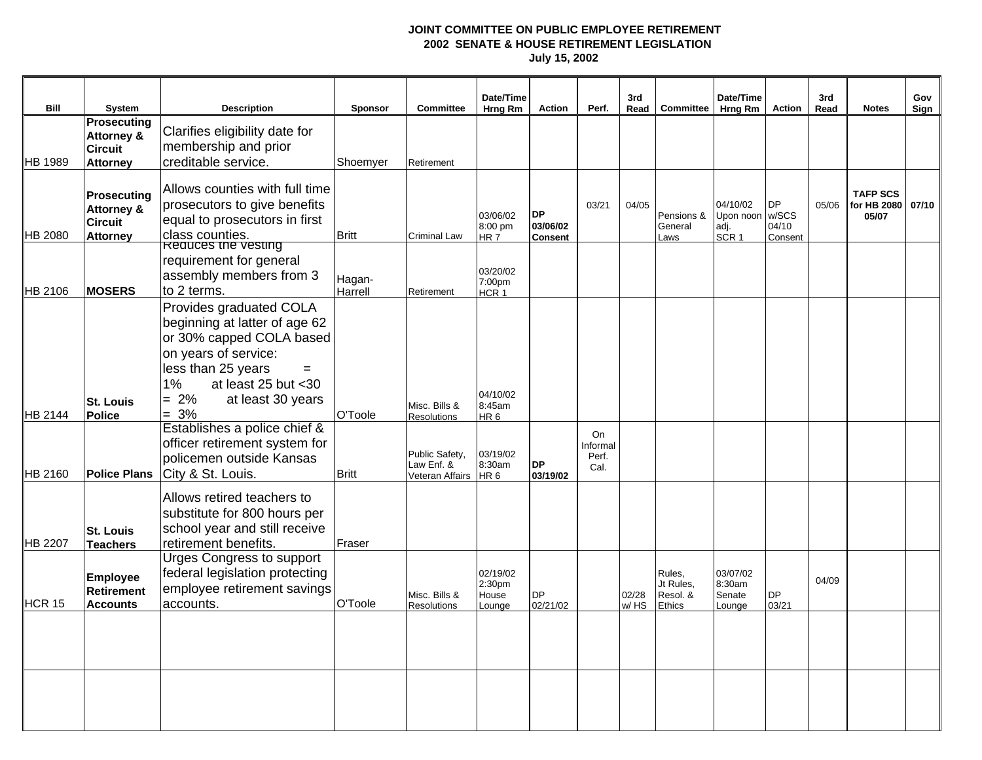|                |                              |                                               |                   |                                     | Date/Time                  |                |               | 3rd   |                       | Date/Time             |                    | 3rd   |                      | Gov   |
|----------------|------------------------------|-----------------------------------------------|-------------------|-------------------------------------|----------------------------|----------------|---------------|-------|-----------------------|-----------------------|--------------------|-------|----------------------|-------|
| Bill           | System<br><b>Prosecuting</b> | <b>Description</b>                            | <b>Sponsor</b>    | <b>Committee</b>                    | Hrng Rm                    | Action         | Perf.         | Read  | Committee             | <b>Hrng Rm</b>        | Action             | Read  | <b>Notes</b>         | Sign  |
|                | <b>Attorney &amp;</b>        | Clarifies eligibility date for                |                   |                                     |                            |                |               |       |                       |                       |                    |       |                      |       |
|                | <b>Circuit</b>               | membership and prior                          |                   |                                     |                            |                |               |       |                       |                       |                    |       |                      |       |
| HB 1989        | <b>Attorney</b>              | creditable service.                           | Shoemyer          | Retirement                          |                            |                |               |       |                       |                       |                    |       |                      |       |
|                |                              |                                               |                   |                                     |                            |                |               |       |                       |                       |                    |       |                      |       |
|                | Prosecuting                  | Allows counties with full time                |                   |                                     |                            |                |               |       |                       |                       |                    |       | <b>TAFP SCS</b>      |       |
|                | <b>Attorney &amp;</b>        | prosecutors to give benefits                  |                   |                                     | 03/06/02                   | <b>DP</b>      | 03/21         | 04/05 | Pensions &            | 04/10/02<br>Upon noon | <b>DP</b><br>w/SCS | 05/06 | for HB 2080<br>05/07 | 07/10 |
|                | <b>Circuit</b>               | equal to prosecutors in first                 |                   |                                     | 8:00 pm                    | 03/06/02       |               |       | General               | adj.                  | 04/10              |       |                      |       |
| <b>HB 2080</b> | <b>Attorney</b>              | class counties.<br><b>Reduces the vesting</b> | <b>Britt</b>      | <b>Criminal Law</b>                 | HR <sub>7</sub>            | <b>Consent</b> |               |       | Laws                  | SCR <sub>1</sub>      | Consent            |       |                      |       |
|                |                              | requirement for general                       |                   |                                     |                            |                |               |       |                       |                       |                    |       |                      |       |
|                |                              | assembly members from 3                       |                   |                                     | 03/20/02                   |                |               |       |                       |                       |                    |       |                      |       |
| <b>HB 2106</b> | <b>MOSERS</b>                | to 2 terms.                                   | Hagan-<br>Harrell | Retirement                          | 7:00pm<br>HCR <sub>1</sub> |                |               |       |                       |                       |                    |       |                      |       |
|                |                              | Provides graduated COLA                       |                   |                                     |                            |                |               |       |                       |                       |                    |       |                      |       |
|                |                              | beginning at latter of age 62                 |                   |                                     |                            |                |               |       |                       |                       |                    |       |                      |       |
|                |                              | or 30% capped COLA based                      |                   |                                     |                            |                |               |       |                       |                       |                    |       |                      |       |
|                |                              | on years of service:                          |                   |                                     |                            |                |               |       |                       |                       |                    |       |                      |       |
|                |                              | less than 25 years<br>$=$                     |                   |                                     |                            |                |               |       |                       |                       |                    |       |                      |       |
|                |                              | at least $25$ but $<$ 30<br>$1\%$             |                   |                                     |                            |                |               |       |                       |                       |                    |       |                      |       |
|                | <b>St. Louis</b>             | $= 2\%$<br>at least 30 years                  |                   |                                     | 04/10/02                   |                |               |       |                       |                       |                    |       |                      |       |
| HB 2144        | Police                       | $= 3\%$                                       | O'Toole           | Misc. Bills &<br><b>Resolutions</b> | 8:45am<br>HR <sub>6</sub>  |                |               |       |                       |                       |                    |       |                      |       |
|                |                              | Establishes a police chief &                  |                   |                                     |                            |                | On            |       |                       |                       |                    |       |                      |       |
|                |                              | officer retirement system for                 |                   |                                     |                            |                | Informal      |       |                       |                       |                    |       |                      |       |
|                |                              | policemen outside Kansas                      |                   | Public Safety,<br>Law Enf. &        | 03/19/02<br>8:30am         | <b>DP</b>      | Perf.<br>Cal. |       |                       |                       |                    |       |                      |       |
| HB 2160        | <b>Police Plans</b>          | City & St. Louis.                             | <b>Britt</b>      | Veteran Affairs HR 6                |                            | 03/19/02       |               |       |                       |                       |                    |       |                      |       |
|                |                              | Allows retired teachers to                    |                   |                                     |                            |                |               |       |                       |                       |                    |       |                      |       |
|                |                              | substitute for 800 hours per                  |                   |                                     |                            |                |               |       |                       |                       |                    |       |                      |       |
|                | <b>St. Louis</b>             | school year and still receive                 |                   |                                     |                            |                |               |       |                       |                       |                    |       |                      |       |
| <b>HB 2207</b> | <b>Teachers</b>              | retirement benefits.                          | Fraser            |                                     |                            |                |               |       |                       |                       |                    |       |                      |       |
|                |                              | <b>Urges Congress to support</b>              |                   |                                     |                            |                |               |       |                       |                       |                    |       |                      |       |
|                | <b>Employee</b>              | federal legislation protecting                |                   |                                     | 02/19/02                   |                |               |       | Rules,                | 03/07/02              |                    |       |                      |       |
|                | Retirement                   | employee retirement savings                   |                   | Misc. Bills &                       | 2:30pm<br>House            | <b>DP</b>      |               | 02/28 | Jt Rules,<br>Resol. & | 8:30am<br>Senate      | <b>DP</b>          | 04/09 |                      |       |
| HCR 15         | <b>Accounts</b>              | accounts.                                     | O'Toole           | <b>Resolutions</b>                  | Lounge                     | 02/21/02       |               | w/HS  | Ethics                | Lounge                | 03/21              |       |                      |       |
|                |                              |                                               |                   |                                     |                            |                |               |       |                       |                       |                    |       |                      |       |
|                |                              |                                               |                   |                                     |                            |                |               |       |                       |                       |                    |       |                      |       |
|                |                              |                                               |                   |                                     |                            |                |               |       |                       |                       |                    |       |                      |       |
|                |                              |                                               |                   |                                     |                            |                |               |       |                       |                       |                    |       |                      |       |
|                |                              |                                               |                   |                                     |                            |                |               |       |                       |                       |                    |       |                      |       |
|                |                              |                                               |                   |                                     |                            |                |               |       |                       |                       |                    |       |                      |       |
|                |                              |                                               |                   |                                     |                            |                |               |       |                       |                       |                    |       |                      |       |